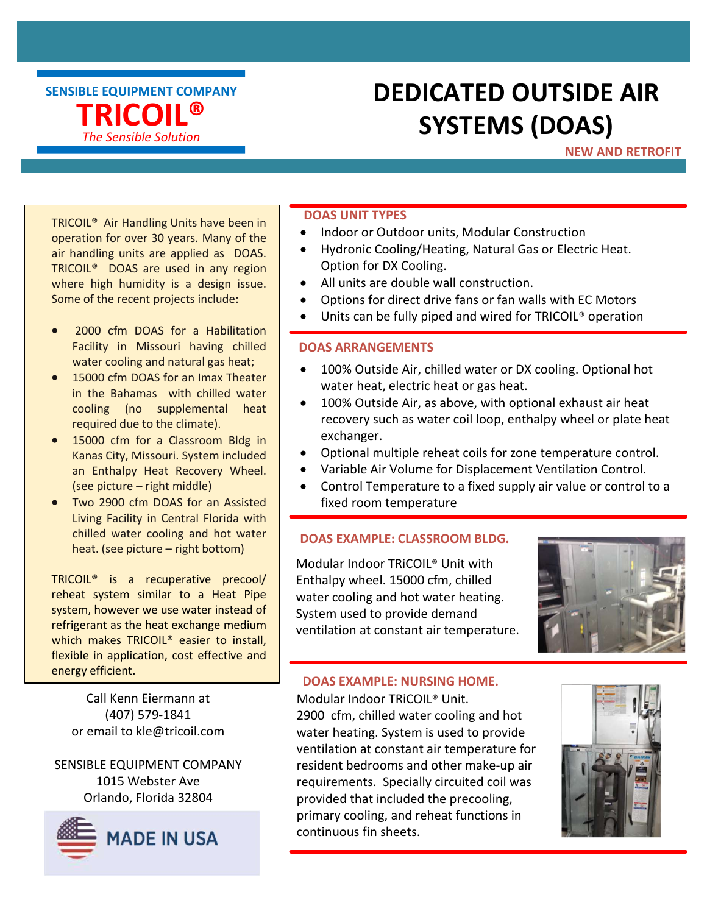SENSIBLE EQUIPMENT COMPANY TRICOIL® The Sensible Solution

## DEDICATED OUTSIDE AIR SYSTEMS (DOAS)

### NEW AND RETROFIT

TRICOIL® Air Handling Units have been in operation for over 30 years. Many of the air handling units are applied as DOAS. TRICOIL® DOAS are used in any region where high humidity is a design issue. Some of the recent projects include:

- 2000 cfm DOAS for a Habilitation Facility in Missouri having chilled water cooling and natural gas heat;
- 15000 cfm DOAS for an Imax Theater in the Bahamas with chilled water cooling (no supplemental heat required due to the climate).
- 15000 cfm for a Classroom Bldg in Kanas City, Missouri. System included an Enthalpy Heat Recovery Wheel. (see picture – right middle)
- Two 2900 cfm DOAS for an Assisted Living Facility in Central Florida with chilled water cooling and hot water heat. (see picture – right bottom)

TRICOIL® is a recuperative precool/ reheat system similar to a Heat Pipe system, however we use water instead of refrigerant as the heat exchange medium which makes TRICOIL® easier to install, flexible in application, cost effective and energy efficient.

Call Kenn Eiermann at (407) 579-1841

SENSIBLE EQUIPMENT COMPANY 1015 Webster Ave Orlando, Florida 32804



#### DOAS UNIT TYPES

- Indoor or Outdoor units, Modular Construction
- Hydronic Cooling/Heating, Natural Gas or Electric Heat. Option for DX Cooling.
- All units are double wall construction.
- Options for direct drive fans or fan walls with EC Motors
- Units can be fully piped and wired for TRICOIL® operation

#### DOAS ARRANGEMENTS

- 100% Outside Air, chilled water or DX cooling. Optional hot water heat, electric heat or gas heat.
- 100% Outside Air, as above, with optional exhaust air heat recovery such as water coil loop, enthalpy wheel or plate heat exchanger.
- Optional multiple reheat coils for zone temperature control.
- Variable Air Volume for Displacement Ventilation Control.
- Control Temperature to a fixed supply air value or control to a fixed room temperature

#### DOAS EXAMPLE: CLASSROOM BLDG.

Modular Indoor TRiCOIL® Unit with Enthalpy wheel. 15000 cfm, chilled water cooling and hot water heating. System used to provide demand ventilation at constant air temperature.



#### DOAS EXAMPLE: NURSING HOME.

or email to kle@tricoil.com water heating. System is used to provide Modular Indoor TRiCOIL® Unit. 2900 cfm, chilled water cooling and hot ventilation at constant air temperature for resident bedrooms and other make-up air requirements. Specially circuited coil was provided that included the precooling, primary cooling, and reheat functions in continuous fin sheets.